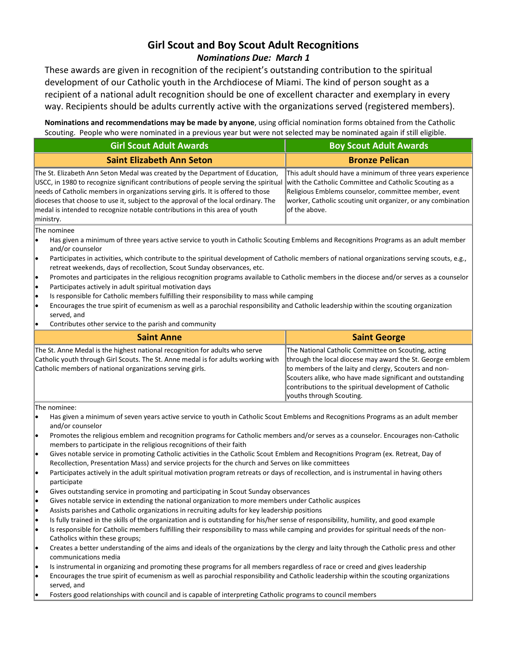## **Girl Scout and Boy Scout Adult Recognitions** *Nominations Due: March 1*

These awards are given in recognition of the recipient's outstanding contribution to the spiritual development of our Catholic youth in the Archdiocese of Miami. The kind of person sought as a recipient of a national adult recognition should be one of excellent character and exemplary in every way. Recipients should be adults currently active with the organizations served (registered members).

**Nominations and recommendations may be made by anyone**, using official nomination forms obtained from the Catholic Scouting. People who were nominated in a previous year but were not selected may be nominated again if still eligible.

|                                                                                                                                                                                                                                                                                                                                                                                                                                            | Scouting. People who were nominated in a previous year but were not selected may be nominated again if still eligible.<br><b>Girl Scout Adult Awards</b>                                                                                                                        |                                                                                                                                                                                                                                                                                                                              |  |
|--------------------------------------------------------------------------------------------------------------------------------------------------------------------------------------------------------------------------------------------------------------------------------------------------------------------------------------------------------------------------------------------------------------------------------------------|---------------------------------------------------------------------------------------------------------------------------------------------------------------------------------------------------------------------------------------------------------------------------------|------------------------------------------------------------------------------------------------------------------------------------------------------------------------------------------------------------------------------------------------------------------------------------------------------------------------------|--|
|                                                                                                                                                                                                                                                                                                                                                                                                                                            |                                                                                                                                                                                                                                                                                 | <b>Boy Scout Adult Awards</b>                                                                                                                                                                                                                                                                                                |  |
|                                                                                                                                                                                                                                                                                                                                                                                                                                            | <b>Saint Elizabeth Ann Seton</b>                                                                                                                                                                                                                                                | <b>Bronze Pelican</b>                                                                                                                                                                                                                                                                                                        |  |
| The St. Elizabeth Ann Seton Medal was created by the Department of Education,<br>USCC, in 1980 to recognize significant contributions of people serving the spiritual<br>needs of Catholic members in organizations serving girls. It is offered to those<br>dioceses that choose to use it, subject to the approval of the local ordinary. The<br>medal is intended to recognize notable contributions in this area of youth<br>ministry. |                                                                                                                                                                                                                                                                                 | This adult should have a minimum of three years experience<br>with the Catholic Committee and Catholic Scouting as a<br>Religious Emblems counselor, committee member, event<br>worker, Catholic scouting unit organizer, or any combination<br>of the above.                                                                |  |
|                                                                                                                                                                                                                                                                                                                                                                                                                                            | The nominee                                                                                                                                                                                                                                                                     |                                                                                                                                                                                                                                                                                                                              |  |
| le.                                                                                                                                                                                                                                                                                                                                                                                                                                        | Has given a minimum of three years active service to youth in Catholic Scouting Emblems and Recognitions Programs as an adult member<br>and/or counselor                                                                                                                        |                                                                                                                                                                                                                                                                                                                              |  |
| .                                                                                                                                                                                                                                                                                                                                                                                                                                          | Participates in activities, which contribute to the spiritual development of Catholic members of national organizations serving scouts, e.g.,<br>retreat weekends, days of recollection, Scout Sunday observances, etc.                                                         |                                                                                                                                                                                                                                                                                                                              |  |
| .<br>le                                                                                                                                                                                                                                                                                                                                                                                                                                    | Promotes and participates in the religious recognition programs available to Catholic members in the diocese and/or serves as a counselor<br>Participates actively in adult spiritual motivation days                                                                           |                                                                                                                                                                                                                                                                                                                              |  |
| le                                                                                                                                                                                                                                                                                                                                                                                                                                         | Is responsible for Catholic members fulfilling their responsibility to mass while camping                                                                                                                                                                                       |                                                                                                                                                                                                                                                                                                                              |  |
| le                                                                                                                                                                                                                                                                                                                                                                                                                                         | Encourages the true spirit of ecumenism as well as a parochial responsibility and Catholic leadership within the scouting organization<br>served, and                                                                                                                           |                                                                                                                                                                                                                                                                                                                              |  |
| e                                                                                                                                                                                                                                                                                                                                                                                                                                          | Contributes other service to the parish and community                                                                                                                                                                                                                           |                                                                                                                                                                                                                                                                                                                              |  |
|                                                                                                                                                                                                                                                                                                                                                                                                                                            | <b>Saint Anne</b>                                                                                                                                                                                                                                                               | <b>Saint George</b>                                                                                                                                                                                                                                                                                                          |  |
|                                                                                                                                                                                                                                                                                                                                                                                                                                            | The St. Anne Medal is the highest national recognition for adults who serve<br>Catholic youth through Girl Scouts. The St. Anne medal is for adults working with<br>Catholic members of national organizations serving girls.                                                   | The National Catholic Committee on Scouting, acting<br>through the local diocese may award the St. George emblem<br>to members of the laity and clergy, Scouters and non-<br>Scouters alike, who have made significant and outstanding<br>contributions to the spiritual development of Catholic<br>youths through Scouting. |  |
| The nominee:                                                                                                                                                                                                                                                                                                                                                                                                                               |                                                                                                                                                                                                                                                                                 |                                                                                                                                                                                                                                                                                                                              |  |
| I۰                                                                                                                                                                                                                                                                                                                                                                                                                                         | Has given a minimum of seven years active service to youth in Catholic Scout Emblems and Recognitions Programs as an adult member<br>and/or counselor                                                                                                                           |                                                                                                                                                                                                                                                                                                                              |  |
| .                                                                                                                                                                                                                                                                                                                                                                                                                                          | Promotes the religious emblem and recognition programs for Catholic members and/or serves as a counselor. Encourages non-Catholic<br>members to participate in the religious recognitions of their faith                                                                        |                                                                                                                                                                                                                                                                                                                              |  |
| .                                                                                                                                                                                                                                                                                                                                                                                                                                          | Gives notable service in promoting Catholic activities in the Catholic Scout Emblem and Recognitions Program (ex. Retreat, Day of<br>Recollection, Presentation Mass) and service projects for the church and Serves on like committees                                         |                                                                                                                                                                                                                                                                                                                              |  |
| lo                                                                                                                                                                                                                                                                                                                                                                                                                                         | Participates actively in the adult spiritual motivation program retreats or days of recollection, and is instrumental in having others<br>participate                                                                                                                           |                                                                                                                                                                                                                                                                                                                              |  |
| lo                                                                                                                                                                                                                                                                                                                                                                                                                                         | Gives outstanding service in promoting and participating in Scout Sunday observances                                                                                                                                                                                            |                                                                                                                                                                                                                                                                                                                              |  |
|                                                                                                                                                                                                                                                                                                                                                                                                                                            | Gives notable service in extending the national organization to more members under Catholic auspices                                                                                                                                                                            |                                                                                                                                                                                                                                                                                                                              |  |
| l•                                                                                                                                                                                                                                                                                                                                                                                                                                         | Assists parishes and Catholic organizations in recruiting adults for key leadership positions                                                                                                                                                                                   |                                                                                                                                                                                                                                                                                                                              |  |
| I۰<br>lo                                                                                                                                                                                                                                                                                                                                                                                                                                   | Is fully trained in the skills of the organization and is outstanding for his/her sense of responsibility, humility, and good example<br>Is responsible for Catholic members fulfilling their responsibility to mass while camping and provides for spiritual needs of the non- |                                                                                                                                                                                                                                                                                                                              |  |
| e                                                                                                                                                                                                                                                                                                                                                                                                                                          | Catholics within these groups;<br>Creates a better understanding of the aims and ideals of the organizations by the clergy and laity through the Catholic press and other                                                                                                       |                                                                                                                                                                                                                                                                                                                              |  |
|                                                                                                                                                                                                                                                                                                                                                                                                                                            | communications media                                                                                                                                                                                                                                                            |                                                                                                                                                                                                                                                                                                                              |  |
| le.<br>lo                                                                                                                                                                                                                                                                                                                                                                                                                                  | Is instrumental in organizing and promoting these programs for all members regardless of race or creed and gives leadership<br>Encourages the true spirit of ecumenism as well as parochial responsibility and Catholic leadership within the scouting organizations            |                                                                                                                                                                                                                                                                                                                              |  |
|                                                                                                                                                                                                                                                                                                                                                                                                                                            | served, and<br>Fosters good relationships with council and is capable of interpreting Catholic programs to council members                                                                                                                                                      |                                                                                                                                                                                                                                                                                                                              |  |